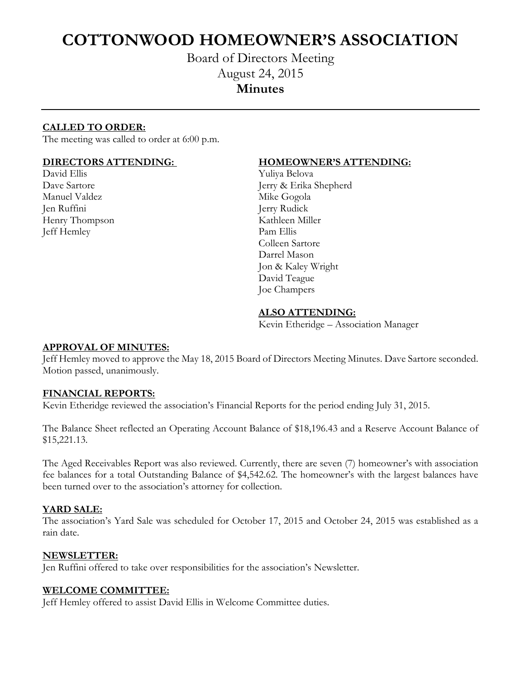# **COTTONWOOD HOMEOWNER'S ASSOCIATION**

## Board of Directors Meeting August 24, 2015 **Minutes**

### **CALLED TO ORDER:**

The meeting was called to order at 6:00 p.m.

David Ellis Yuliya Belova Manuel Valdez Mike Gogola Jen Ruffini Jerry Rudick Henry Thompson Kathleen Miller Jeff Hemley Pam Ellis

#### **DIRECTORS ATTENDING: HOMEOWNER'S ATTENDING:**

Dave Sartore Jerry & Erika Shepherd Colleen Sartore Darrel Mason Jon & Kaley Wright David Teague Joe Champers

#### **ALSO ATTENDING:**

Kevin Etheridge – Association Manager

#### **APPROVAL OF MINUTES:**

Jeff Hemley moved to approve the May 18, 2015 Board of Directors Meeting Minutes. Dave Sartore seconded. Motion passed, unanimously.

#### **FINANCIAL REPORTS:**

Kevin Etheridge reviewed the association's Financial Reports for the period ending July 31, 2015.

The Balance Sheet reflected an Operating Account Balance of \$18,196.43 and a Reserve Account Balance of \$15,221.13.

The Aged Receivables Report was also reviewed. Currently, there are seven (7) homeowner's with association fee balances for a total Outstanding Balance of \$4,542.62. The homeowner's with the largest balances have been turned over to the association's attorney for collection.

#### **YARD SALE:**

The association's Yard Sale was scheduled for October 17, 2015 and October 24, 2015 was established as a rain date.

#### **NEWSLETTER:**

Jen Ruffini offered to take over responsibilities for the association's Newsletter.

#### **WELCOME COMMITTEE:**

Jeff Hemley offered to assist David Ellis in Welcome Committee duties.